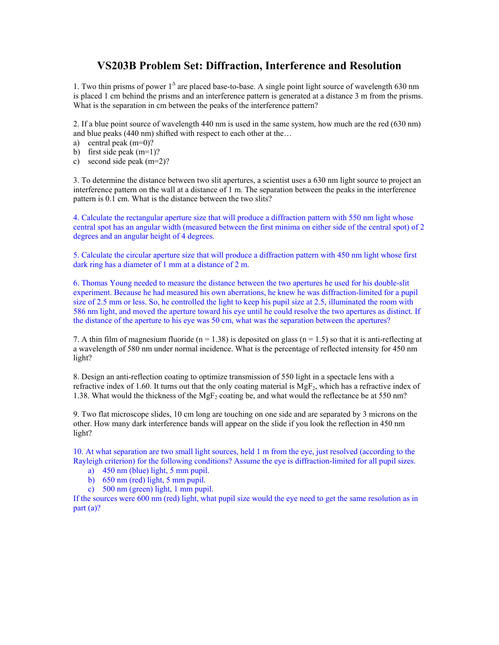## **VS203B Problem Set: Diffraction, Interference and Resolution**

1. Two thin prisms of power 1<sup>∆</sup> are placed base-to-base. A single point light source of wavelength 630 nm is placed 1 cm behind the prisms and an interference pattern is generated at a distance 3 m from the prisms. What is the separation in cm between the peaks of the interference pattern?

2. If a blue point source of wavelength 440 nm is used in the same system, how much are the red (630 nm) and blue peaks (440 nm) shifted with respect to each other at the…

- a) central peak (m=0)?
- b) first side peak (m=1)?
- c) second side peak (m=2)?

3. To determine the distance between two slit apertures, a scientist uses a 630 nm light source to project an interference pattern on the wall at a distance of 1 m. The separation between the peaks in the interference pattern is 0.1 cm. What is the distance between the two slits?

4. Calculate the rectangular aperture size that will produce a diffraction pattern with 550 nm light whose central spot has an angular width (measured between the first minima on either side of the central spot) of 2 degrees and an angular height of 4 degrees.

5. Calculate the circular aperture size that will produce a diffraction pattern with 450 nm light whose first dark ring has a diameter of 1 mm at a distance of 2 m.

6. Thomas Young needed to measure the distance between the two apertures he used for his double-slit experiment. Because he had measured his own aberrations, he knew he was diffraction-limited for a pupil size of 2.5 mm or less. So, he controlled the light to keep his pupil size at 2.5, illuminated the room with 586 nm light, and moved the aperture toward his eye until he could resolve the two apertures as distinct. If the distance of the aperture to his eye was 50 cm, what was the separation between the apertures?

7. A thin film of magnesium fluoride ( $n = 1.38$ ) is deposited on glass ( $n = 1.5$ ) so that it is anti-reflecting at a wavelength of 580 nm under normal incidence. What is the percentage of reflected intensity for 450 nm light?

8. Design an anti-reflection coating to optimize transmission of 550 light in a spectacle lens with a refractive index of 1.60. It turns out that the only coating material is  $MgF<sub>2</sub>$ , which has a refractive index of 1.38. What would the thickness of the MgF<sub>2</sub> coating be, and what would the reflectance be at 550 nm?

9. Two flat microscope slides, 10 cm long are touching on one side and are separated by 3 microns on the other. How many dark interference bands will appear on the slide if you look the reflection in 450 nm light?

10. At what separation are two small light sources, held 1 m from the eye, just resolved (according to the Rayleigh criterion) for the following conditions? Assume the eye is diffraction-limited for all pupil sizes.

- a) 450 nm (blue) light, 5 mm pupil.
- b) 650 nm (red) light, 5 mm pupil.
- c) 500 nm (green) light, 1 mm pupil.

If the sources were 600 nm (red) light, what pupil size would the eye need to get the same resolution as in part (a)?